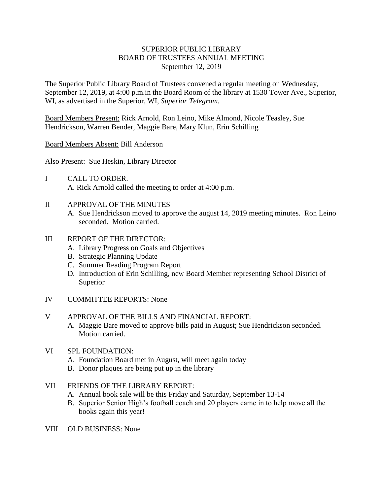## SUPERIOR PUBLIC LIBRARY BOARD OF TRUSTEES ANNUAL MEETING September 12, 2019

The Superior Public Library Board of Trustees convened a regular meeting on Wednesday, September 12, 2019, at 4:00 p.m.in the Board Room of the library at 1530 Tower Ave., Superior, WI, as advertised in the Superior, WI, *Superior Telegram.*

Board Members Present: Rick Arnold, Ron Leino, Mike Almond, Nicole Teasley, Sue Hendrickson, Warren Bender, Maggie Bare, Mary Klun, Erin Schilling

Board Members Absent: Bill Anderson

Also Present: Sue Heskin, Library Director

- I CALL TO ORDER. A. Rick Arnold called the meeting to order at 4:00 p.m.
- II APPROVAL OF THE MINUTES
	- A. Sue Hendrickson moved to approve the august 14, 2019 meeting minutes. Ron Leino seconded. Motion carried.

## III REPORT OF THE DIRECTOR:

- A. Library Progress on Goals and Objectives
- B. Strategic Planning Update
- C. Summer Reading Program Report
- D. Introduction of Erin Schilling, new Board Member representing School District of Superior
- IV COMMITTEE REPORTS: None

## V APPROVAL OF THE BILLS AND FINANCIAL REPORT:

- A. Maggie Bare moved to approve bills paid in August; Sue Hendrickson seconded. Motion carried.
- VI SPL FOUNDATION:
	- A. Foundation Board met in August, will meet again today
	- B. Donor plaques are being put up in the library
- VII FRIENDS OF THE LIBRARY REPORT:
	- A. Annual book sale will be this Friday and Saturday, September 13-14
	- B. Superior Senior High's football coach and 20 players came in to help move all the books again this year!
- VIII OLD BUSINESS: None